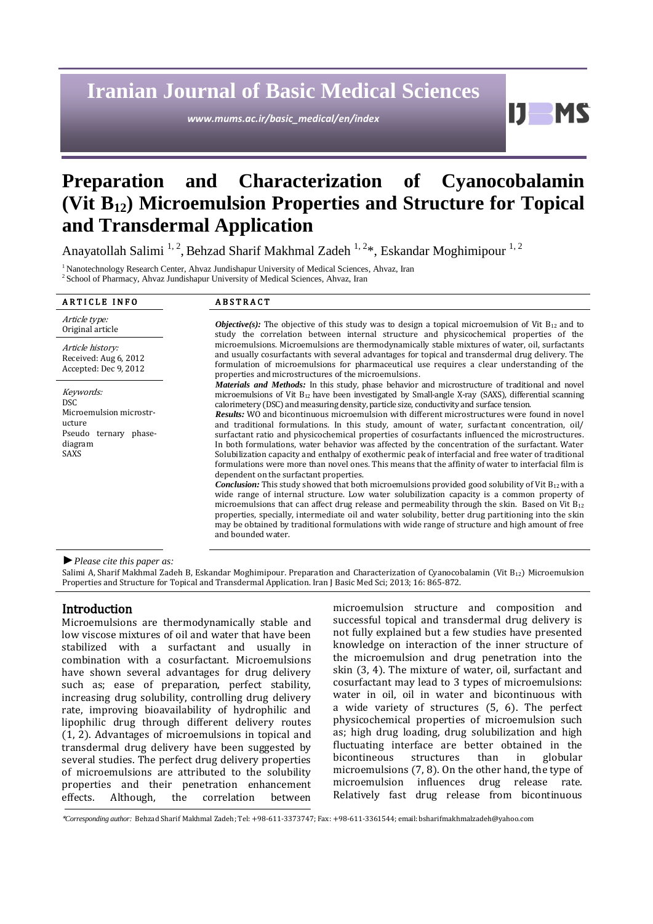# **Iranian Journal of Basic Medical Sciences**

*www.mums.ac.ir/basic\_medical/en/index*

H

# **Preparation and Characterization of Cyanocobalamin (Vit B12) Microemulsion Properties and Structure for Topical and Transdermal Application**

Anayatollah Salimi<sup>1,2</sup>, Behzad Sharif Makhmal Zadeh<sup>1,2\*</sup>, Eskandar Moghimipour<sup>1,2</sup>

<sup>1</sup> Nanotechnology Research Center, Ahvaz Jundishapur University of Medical Sciences, Ahvaz, Iran

<sup>2</sup> School of Pharmacy, Ahvaz Jundishapur University of Medical Sciences, Ahvaz, Iran

# Article type:<br>Original article

Article history: Received: Aug 6, 2012 Accepted: Dec 9, 2012

Keywords: DSC Microemulsion microstructure Pseudo ternary phasediagram SAXS

## ARTICLE INFO ABSTRACT

and bounded water.

Objective(s): The objective of this study was to design a topical microemulsion of Vit B<sub>12</sub> and to study the correlation between internal structure and physicochemical properties of the microemulsions. Microemulsions are thermodynamically stable mixtures of water, oil, surfactants and usually cosurfactants with several advantages for topical and transdermal drug delivery. The formulation of microemulsions for pharmaceutical use requires a clear understanding of the properties and microstructures of the microemulsions. *Materials and Methods:* In this study, phase behavior and microstructure of traditional and novel microemulsions of Vit B12 have been investigated by Small-angle X-ray (SAXS), differential scanning calorimetery (DSC) and measuring density, particle size, conductivity and surface tension. *Results:* WO and bicontinuous microemulsion with different microstructures were found in novel and traditional formulations. In this study, amount of water, surfactant concentration, oil/ surfactant ratio and physicochemical properties of cosurfactants influenced the microstructures. In both formulations, water behavior was affected by the concentration of the surfactant. Water Solubilization capacity and enthalpy of exothermic peak of interfacial and free water of traditional

formulations were more than novel ones. This means that the affinity of water to interfacial film is dependent on the surfactant properties. *Conclusion:* This study showed that both microemulsions provided good solubility of Vit B<sub>12</sub> with a wide range of internal structure. Low water solubilization capacity is a common property of microemulsions that can affect drug release and permeability through the skin. Based on Vit  $B_{12}$ properties, specially, intermediate oil and water solubility, better drug partitioning into the skin

may be obtained by traditional formulations with wide range of structure and high amount of free

*►Please cite this paper as:*

Salimi A, Sharif Makhmal Zadeh B, Eskandar Moghimipour. Preparation and Characterization of Cyanocobalamin (Vit B<sub>12</sub>) Microemulsion Properties and Structure for Topical and Transdermal Application. Iran J Basic Med Sci; 2013; 16: 865-872.

### Introduction

Microemulsions are thermodynamically stable and low viscose mixtures of oil and water that have been stabilized with a surfactant and usually in combination with a cosurfactant. Microemulsions have shown several advantages for drug delivery such as; ease of preparation, perfect stability, increasing drug solubility, controlling drug delivery rate, improving bioavailability of hydrophilic and lipophilic drug through different delivery routes (1, 2). Advantages of microemulsions in topical and transdermal drug delivery have been suggested by several studies. The perfect drug delivery properties of microemulsions are attributed to the solubility properties and their penetration enhancement effects. Although, the correlation between microemulsion structure and composition and successful topical and transdermal drug delivery is not fully explained but a few studies have presented knowledge on interaction of the inner structure of the microemulsion and drug penetration into the skin (3, 4). The mixture of water, oil, surfactant and cosurfactant may lead to 3 types of microemulsions: water in oil, oil in water and bicontinuous with a wide variety of structures (5, 6). The perfect physicochemical properties of microemulsion such as; high drug loading, drug solubilization and high fluctuating interface are better obtained in the bicontineous structures than in globular microemulsions (7, 8). On the other hand, the type of microemulsion influences drug release rate. Relatively fast drug release from bicontinuous

<sup>\*</sup>*Corresponding author:* Behzad Sharif Makhmal Zadeh; Tel: +98-611-3373747; Fax: +98-611-3361544; email[: bsharifmakhmalzadeh@yahoo.com](http://us.mc1302.mail.yahoo.com/mc/compose?to=bsharifmakhmalzadeh@yahoo.com)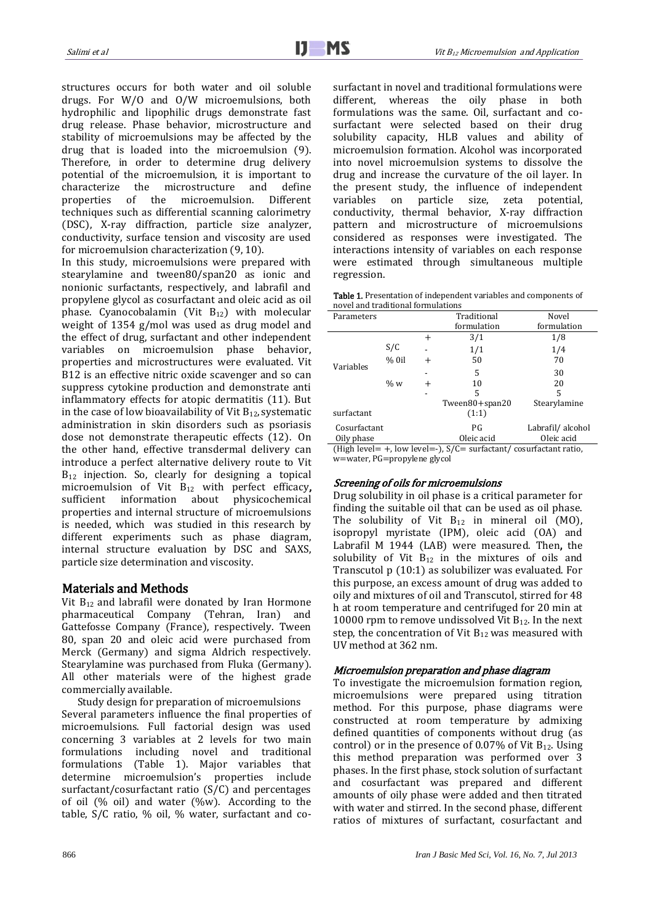structures occurs for both water and oil soluble drugs. For W/O and O/W microemulsions, both hydrophilic and lipophilic drugs demonstrate fast drug release. Phase behavior, microstructure and stability of microemulsions may be affected by the drug that is loaded into the microemulsion (9). Therefore, in order to determine drug delivery potential of the microemulsion, it is important to characterize the microstructure and define properties of the microemulsion. Different techniques such as differential scanning calorimetry (DSC), X-ray diffraction, particle size analyzer, conductivity, surface tension and viscosity are used for microemulsion characterization (9, 10).

In this study, microemulsions were prepared with stearylamine and tween80/span20 as ionic and nonionic surfactants, respectively, and labrafil and propylene glycol as cosurfactant and oleic acid as oil phase. Cyanocobalamin (Vit B12) with molecular weight of 1354 g/mol was used as drug model and the effect of drug, surfactant and other independent variables on microemulsion phase behavior, properties and microstructures were evaluated. Vit B12 is an effective nitric oxide scavenger and so can suppress cytokine production and demonstrate anti inflammatory effects for atopic dermatitis (11). But in the case of low bioavailability of Vit  $B_{12}$ , systematic administration in skin disorders such as psoriasis dose not demonstrate therapeutic effects (12). On the other hand, effective transdermal delivery can introduce a perfect alternative delivery route to Vit B<sub>12</sub> injection. So, clearly for designing a topical microemulsion of Vit B<sub>12</sub> with perfect efficacy, sufficient information about physicochemical properties and internal structure of microemulsions is needed, which was studied in this research by different experiments such as phase diagram, internal structure evaluation by DSC and SAXS, particle size determination and viscosity.

#### Materials and Methods

Vit  $B_{12}$  and labrafil were donated by Iran Hormone pharmaceutical Company (Tehran, Iran) and Gattefosse Company (France), respectively. Tween 80, span 20 and oleic acid were purchased from Merck (Germany) and sigma Aldrich respectively. Stearylamine was purchased from Fluka (Germany). All other materials were of the highest grade commercially available.

Study design for preparation of microemulsions Several parameters influence the final properties of microemulsions. Full factorial design was used concerning 3 variables at 2 levels for two main formulations including novel and traditional formulations (Table 1). Major variables that determine microemulsion's properties include surfactant/cosurfactant ratio (S/C) and percentages of oil (% oil) and water (%w). According to the table, S/C ratio, % oil, % water, surfactant and cosurfactant in novel and traditional formulations were different, whereas the oily phase in both formulations was the same. Oil, surfactant and cosurfactant were selected based on their drug solubility capacity, HLB values and ability of microemulsion formation. Alcohol was incorporated into novel microemulsion systems to dissolve the drug and increase the curvature of the oil layer. In the present study, the influence of independent variables on particle size, zeta potential, conductivity, thermal behavior, X-ray diffraction pattern and microstructure of microemulsions considered as responses were investigated. The interactions intensity of variables on each response were estimated through simultaneous multiple regression.

| Table 1. Presentation of independent variables and components of |  |
|------------------------------------------------------------------|--|
| novel and traditional formulations                               |  |

| Parameters                                                                  |         |                | Traditional    | Novel            |  |
|-----------------------------------------------------------------------------|---------|----------------|----------------|------------------|--|
|                                                                             |         |                | formulation    | formulation      |  |
|                                                                             |         | $\overline{+}$ | 3/1            | 1/8              |  |
|                                                                             | S/C     |                | 1/1            | 1/4              |  |
|                                                                             | $%$ 0il | $^+$           | 50             | 70               |  |
| Variables                                                                   |         |                | 5              | 30               |  |
|                                                                             | $\% w$  | $\pm$          | 10             | 20               |  |
|                                                                             |         |                | 5              | 5                |  |
|                                                                             |         |                | Tween80+span20 | Stearylamine     |  |
| surfactant                                                                  |         |                | (1:1)          |                  |  |
| Cosurfactant                                                                |         |                | PG.            | Labrafil/alcohol |  |
| Oily phase                                                                  |         | Oleic acid     | Oleic acid     |                  |  |
| (High level = $+$ , low level = -), $S/C$ = surfactant/ cosurfactant ratio, |         |                |                |                  |  |

w=water, PG=propylene glycol

#### Screening of oils for microemulsions

Drug solubility in oil phase is a critical parameter for finding the suitable oil that can be used as oil phase. The solubility of Vit  $B_{12}$  in mineral oil (MO), isopropyl myristate (IPM), oleic acid (OA) and Labrafil M 1944 (LAB) were measured. Then, the solubility of Vit  $B_{12}$  in the mixtures of oils and Transcutol p (10:1) as solubilizer was evaluated. For this purpose, an excess amount of drug was added to oily and mixtures of oil and Transcutol, stirred for 48 h at room temperature and centrifuged for 20 min at 10000 rpm to remove undissolved Vit  $B_{12}$ . In the next step, the concentration of Vit  $B_{12}$  was measured with UV method at 362 nm.

#### Microemulsion preparation and phase diagram

To investigate the microemulsion formation region, microemulsions were prepared using titration method. For this purpose, phase diagrams were constructed at room temperature by admixing defined quantities of components without drug (as control) or in the presence of 0.07% of Vit  $B_{12}$ . Using this method preparation was performed over 3 phases. In the first phase, stock solution of surfactant and cosurfactant was prepared and different amounts of oily phase were added and then titrated with water and stirred. In the second phase, different ratios of mixtures of surfactant, cosurfactant and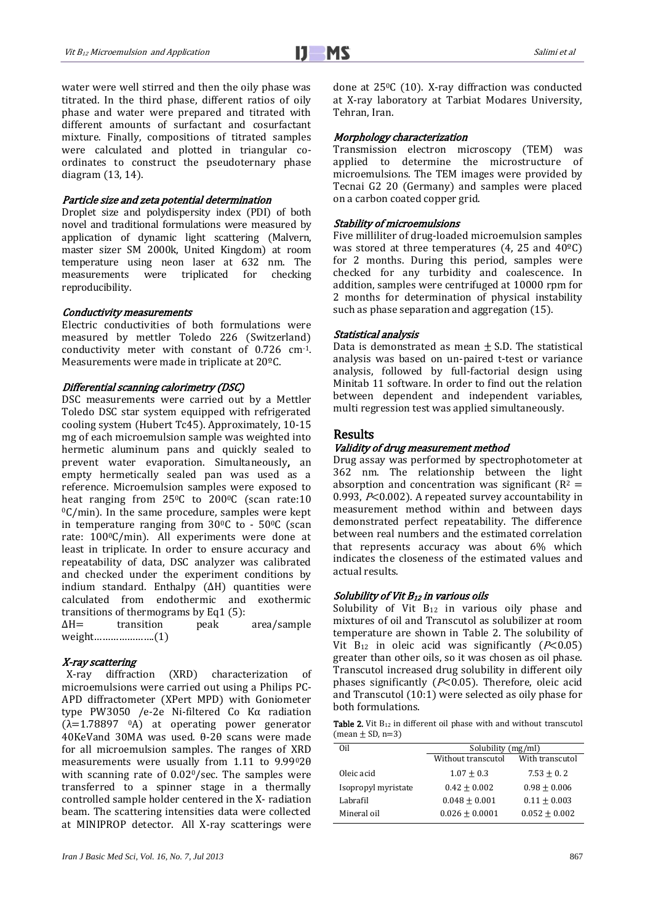water were well stirred and then the oily phase was titrated. In the third phase, different ratios of oily phase and water were prepared and titrated with different amounts of surfactant and cosurfactant mixture. Finally, compositions of titrated samples were calculated and plotted in triangular coordinates to construct the pseudoternary phase diagram (13, 14).

#### Particle size and zeta potential determination

Droplet size and polydispersity index (PDI) of both novel and traditional formulations were measured by application of dynamic light scattering (Malvern, master sizer SM 2000k, United Kingdom) at room temperature using neon laser at 632 nm. The measurements were triplicated for checking reproducibility.

#### Conductivity measurements

Electric conductivities of both formulations were measured by mettler Toledo 226 (Switzerland) conductivity meter with constant of 0.726 cm-1. Measurements were made in triplicate at 20ºC.

#### Differential scanning calorimetry (DSC)

DSC measurements were carried out by a Mettler Toledo DSC star system equipped with refrigerated cooling system (Hubert Tc45). Approximately, 10-15 mg of each microemulsion sample was weighted into hermetic aluminum pans and quickly sealed to prevent water evaporation. Simultaneously, an empty hermetically sealed pan was used as a reference. Microemulsion samples were exposed to heat ranging from  $25^{\circ}$ C to  $200^{\circ}$ C (scan rate:10  $\rm{^0C/min}$ . In the same procedure, samples were kept in temperature ranging from  $30^{\circ}$ C to -  $50^{\circ}$ C (scan rate: 1000C/min). All experiments were done at least in triplicate. In order to ensure accuracy and repeatability of data, DSC analyzer was calibrated and checked under the experiment conditions by indium standard. Enthalpy (∆H) quantities were calculated from endothermic and exothermic transitions of thermograms by Eq1 (5): ∆H= transition peak area/sample

weight………………….(1)

#### X-ray scattering

 X-ray diffraction (XRD) characterization of microemulsions were carried out using a Philips PC-APD diffractometer (XPert MPD) with Goniometer type PW3050 /e-2e Ni-filtered Co Kα radiation  $(\lambda=1.78897 \text{ oA})$  at operating power generator 40KeVand 30MA was used. θ-2θ scans were made for all microemulsion samples. The ranges of XRD measurements were usually from 1.11 to 9.9902θ with scanning rate of 0.02<sup>0</sup>/sec. The samples were transferred to a spinner stage in a thermally controlled sample holder centered in the X- radiation beam. The scattering intensities data were collected at MINIPROP detector. All X-ray scatterings were done at 250C (10). X-ray diffraction was conducted at X-ray laboratory at Tarbiat Modares University, Tehran, Iran.

#### Morphology characterization

Transmission electron microscopy (TEM) was applied to determine the microstructure of microemulsions. The TEM images were provided by Tecnai G2 20 (Germany) and samples were placed on a carbon coated copper grid.

#### Stability of microemulsions

Five milliliter of drug-loaded microemulsion samples was stored at three temperatures  $(4, 25 \text{ and } 40^{\circ} \text{C})$ for 2 months. During this period, samples were checked for any turbidity and coalescence. In addition, samples were centrifuged at 10000 rpm for 2 months for determination of physical instability such as phase separation and aggregation (15).

#### Statistical analysis

Data is demonstrated as mean  $\pm$  S.D. The statistical analysis was based on un-paired t-test or variance analysis, followed by full-factorial design using Minitab 11 software. In order to find out the relation between dependent and independent variables, multi regression test was applied simultaneously.

#### Results

#### Validity of drug measurement method

Drug assay was performed by spectrophotometer at 362 nm. The relationship between the light absorption and concentration was significant ( $R^2$  = 0.993,  $P<$  0.002). A repeated survey accountability in measurement method within and between days demonstrated perfect repeatability. The difference between real numbers and the estimated correlation that represents accuracy was about 6% which indicates the closeness of the estimated values and actual results.

#### Solubility of Vit  $B_{12}$  in various oils

Solubility of Vit  $B_{12}$  in various oily phase and mixtures of oil and Transcutol as solubilizer at room temperature are shown in Table 2. The solubility of Vit  $B_{12}$  in oleic acid was significantly ( $P<0.05$ ) greater than other oils, so it was chosen as oil phase. Transcutol increased drug solubility in different oily phases significantly ( $P<0.05$ ). Therefore, oleic acid and Transcutol (10:1) were selected as oily phase for both formulations.

|                      |  |  |  | <b>Table 2.</b> Vit B <sub>12</sub> in different oil phase with and without transcutol |  |
|----------------------|--|--|--|----------------------------------------------------------------------------------------|--|
| $(mean \pm SD, n=3)$ |  |  |  |                                                                                        |  |

| Oil                 | Solubility (mg/ml) |                 |  |
|---------------------|--------------------|-----------------|--|
|                     | Without transcutol | With transcutol |  |
| Oleic acid          | $1.07 + 0.3$       | $7.53 + 0.2$    |  |
| Isopropyl myristate | $0.42 + 0.002$     | $0.98 + 0.006$  |  |
| Labrafil            | $0.048 + 0.001$    | $0.11 + 0.003$  |  |
| Mineral oil         | $0.026 + 0.0001$   | $0.052 + 0.002$ |  |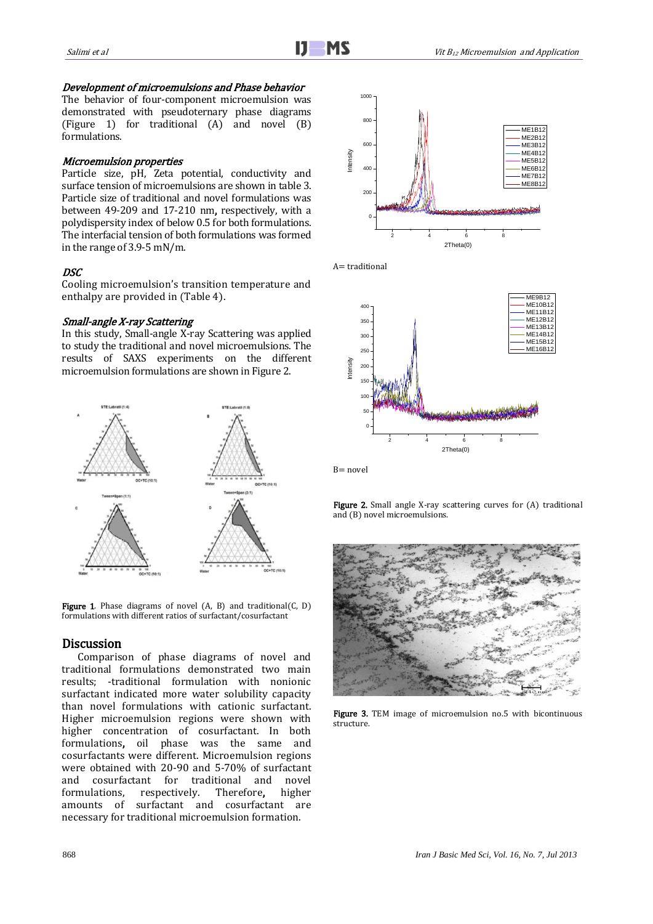#### Development of microemulsions and Phase behavior

The behavior of four-component microemulsion was demonstrated with pseudoternary phase diagrams (Figure 1) for traditional (A) and novel (B) formulations.

## Microemulsion properties

Particle size, pH, Zeta potential, conductivity and surface tension of microemulsions are shown in table 3. Particle size of traditional and novel formulations was between 49-209 and 17-210 nm, respectively, with a polydispersity index of below 0.5 for both formulations. The interfacial tension of both formulations was formed in the range of 3.9-5 mN/m.

#### DSC

Cooling microemulsion's transition temperature and enthalpy are provided in (Table 4).

#### Small-angle X-ray Scattering

In this study, Small-angle X-ray Scattering was applied to study the traditional and novel microemulsions. The results of SAXS experiments on the different microemulsion formulations are shown in Figure 2.



Figure 1. Phase diagrams of novel (A, B) and traditional(C, D) formulations with different ratios of surfactant/cosurfactant

#### **Discussion**

Comparison of phase diagrams of novel and traditional formulations demonstrated two main results; -traditional formulation with nonionic surfactant indicated more water solubility capacity than novel formulations with cationic surfactant. Higher microemulsion regions were shown with higher concentration of cosurfactant. In both formulations, oil phase was the same and cosurfactants were different. Microemulsion regions were obtained with 20-90 and 5-70% of surfactant and cosurfactant for traditional and novel formulations, respectively. Therefore, higher amounts of surfactant and cosurfactant are necessary for traditional microemulsion formation.







 $B = novel$ 

Figure 2. Small angle X-ray scattering curves for (A) traditional and (B) novel microemulsions.



Figure 3. TEM image of microemulsion no.5 with bicontinuous structure.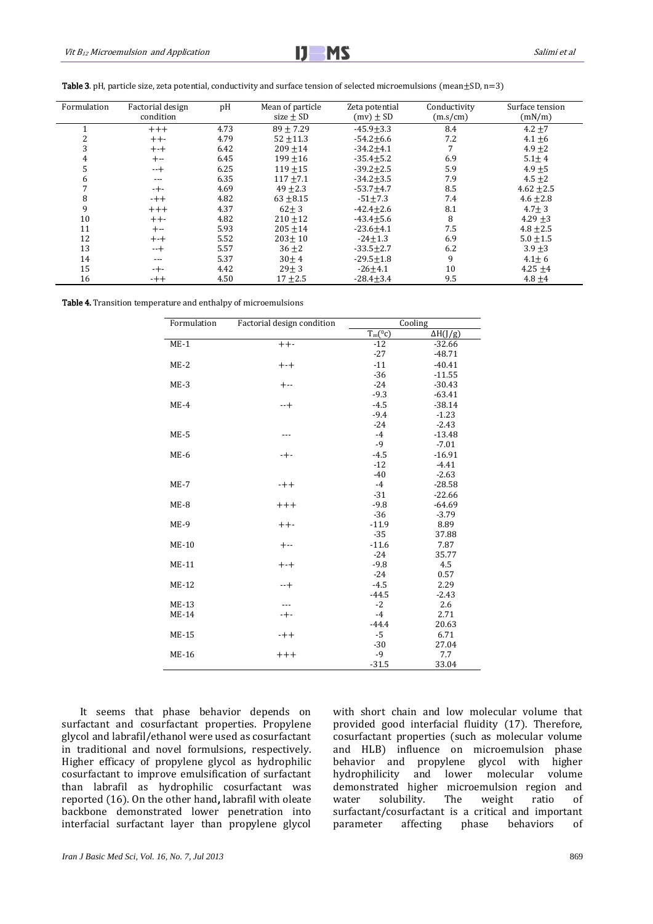Table 3. pH, particle size, zeta potential, conductivity and surface tension of selected microemulsions (mean $\pm$ SD, n=3)

| Formulation | Factorial design<br>condition | pH   | Mean of particle<br>size $\pm$ SD | Zeta potential<br>$(mv) \pm SD$ | Conductivity<br>(m.s/cm) | Surface tension<br>(mN/m) |
|-------------|-------------------------------|------|-----------------------------------|---------------------------------|--------------------------|---------------------------|
|             | $+++$                         | 4.73 | $89 + 7.29$                       | $-45.9+3.3$                     | 8.4                      | $4.2 + 7$                 |
|             | $++-$                         | 4.79 | $52 + 11.3$                       | $-54.2 \pm 6.6$                 | 7.2                      | $4.1 + 6$                 |
|             | $+ - +$                       | 6.42 | $209 \pm 14$                      | $-34.2 + 4.1$                   |                          | $4.9 + 2$                 |
|             | $+--$                         | 6.45 | $199 + 16$                        | $-35.4 + 5.2$                   | 6.9                      | $5.1 + 4$                 |
|             | $-+$                          | 6.25 | $119 + 15$                        | $-39.2 \pm 2.5$                 | 5.9                      | $4.9 + 5$                 |
|             | ---                           | 6.35 | $117 + 7.1$                       | $-34.2 + 3.5$                   | 7.9                      | $4.5 + 2$                 |
|             | $-+-$                         | 4.69 | $49 + 2.3$                        | $-53.7+4.7$                     | 8.5                      | $4.62 + 2.5$              |
| 8           | $-++$                         | 4.82 | $63 + 8.15$                       | $-51 \pm 7.3$                   | 7.4                      | $4.6 \pm 2.8$             |
| 9           | $+++$                         | 4.37 | $62 \pm 3$                        | $-42.4 + 2.6$                   | 8.1                      | $4.7 \pm 3$               |
| 10          | $++-$                         | 4.82 | $210 + 12$                        | $-43.4 + 5.6$                   | 8                        | $4.29 + 3$                |
| 11          | $+ -$                         | 5.93 | $205 + 14$                        | $-23.6 + 4.1$                   | 7.5                      | $4.8 \pm 2.5$             |
| 12          | $+ - +$                       | 5.52 | $203 + 10$                        | $-24 \pm 1.3$                   | 6.9                      | $5.0 \pm 1.5$             |
| 13          | $-+$                          | 5.57 | $36 + 2$                          | $-33.5 \pm 2.7$                 | 6.2                      | $3.9 + 3$                 |
| 14          | ---                           | 5.37 | $30 \pm 4$                        | $-29.5 \pm 1.8$                 | 9                        | $4.1 \pm 6$               |
| 15          | $-+-$                         | 4.42 | $29 \pm 3$                        | $-26 + 4.1$                     | 10                       | $4.25 + 4$                |
| 16          | $-++$                         | 4.50 | $17 + 2.5$                        | $-28.4 \pm 3.4$                 | 9.5                      | $4.8 + 4$                 |

Table 4. Transition temperature and enthalpy of microemulsions

| Formulation  | Factorial design condition | Cooling               |                 |  |
|--------------|----------------------------|-----------------------|-----------------|--|
|              |                            | $\overline{T_m}(^0c)$ | $\Delta H(J/g)$ |  |
| $ME-1$       | $++-$                      | $-12$                 | $-32.66$        |  |
|              |                            | $-27$                 | $-48.71$        |  |
| $ME-2$       | $+ - +$                    | $-11$                 | $-40.41$        |  |
|              |                            | $-36$                 | $-11.55$        |  |
| $ME-3$       | $+ -$                      | $-24$                 | $-30.43$        |  |
|              |                            | $-9.3$                | $-63.41$        |  |
| $ME-4$       | $-+$                       | $-4.5$                | $-38.14$        |  |
|              |                            | $-9.4$                | $-1.23$         |  |
|              |                            | $-24$                 | $-2.43$         |  |
| $ME-5$       | ---                        | $-4$                  | $-13.48$        |  |
|              |                            | $-9$                  | $-7.01$         |  |
| $ME-6$       | -+-                        | $-4.5$                | $-16.91$        |  |
|              |                            | $-12$                 | $-4.41$         |  |
|              |                            | $-40$                 | $-2.63$         |  |
| $ME-7$       | $-++$                      | $-4$                  | $-28.58$        |  |
|              |                            | $-31$                 | $-22.66$        |  |
| $ME-8$       | $+++$                      | $-9.8$                | $-64.69$        |  |
|              |                            | $-36$                 | $-3.79$         |  |
| $ME-9$       | $++-$                      | $-11.9$               | 8.89            |  |
|              |                            | $-35$                 | 37.88           |  |
| $ME-10$      | $+ -$                      | $-11.6$               | 7.87            |  |
|              |                            | $-24$                 | 35.77           |  |
| $ME-11$      | $+ - +$                    | $-9.8$                | 4.5             |  |
|              |                            | $-24$                 | 0.57            |  |
| <b>ME-12</b> | $-+$                       | $-4.5$                | 2.29            |  |
|              |                            | $-44.5$               | $-2.43$         |  |
| <b>ME-13</b> | ---                        | $-2$                  | 2.6             |  |
| <b>ME-14</b> | $-+-$                      | $-4$                  | 2.71            |  |
|              |                            | $-44.4$               | 20.63           |  |
| <b>ME-15</b> | $-++$                      | $-5$                  | 6.71            |  |
|              |                            | $-30$                 | 27.04           |  |
| <b>ME-16</b> | $+++$                      | $-9$                  | 7.7             |  |
|              |                            | $-31.5$               | 33.04           |  |

It seems that phase behavior depends on surfactant and cosurfactant properties. Propylene glycol and labrafil/ethanol were used as cosurfactant in traditional and novel formulsions, respectively. Higher efficacy of propylene glycol as hydrophilic cosurfactant to improve emulsification of surfactant than labrafil as hydrophilic cosurfactant was reported (16). On the other hand, labrafil with oleate backbone demonstrated lower penetration into interfacial surfactant layer than propylene glycol

with short chain and low molecular volume that provided good interfacial fluidity (17). Therefore, cosurfactant properties (such as molecular volume and HLB) influence on microemulsion phase behavior and propylene glycol with higher hydrophilicity and lower molecular volume demonstrated higher microemulsion region and water solubility. The weight ratio of surfactant/cosurfactant is a critical and important parameter affecting phase behaviors of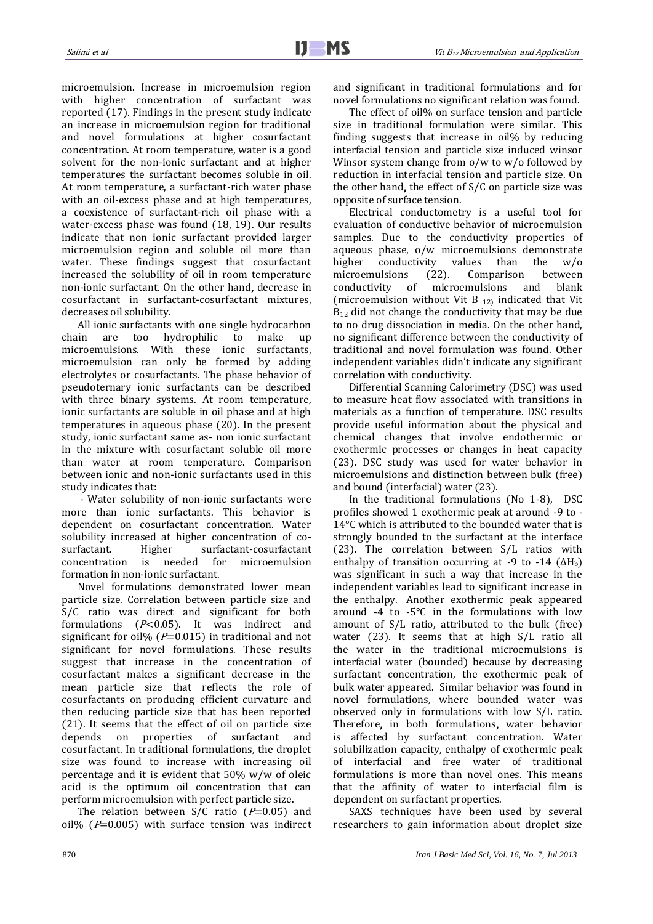microemulsion. Increase in microemulsion region with higher concentration of surfactant was reported (17). Findings in the present study indicate an increase in microemulsion region for traditional and novel formulations at higher cosurfactant concentration. At room temperature, water is a good solvent for the non-ionic surfactant and at higher temperatures the surfactant becomes soluble in oil. At room temperature, a surfactant-rich water phase with an oil-excess phase and at high temperatures, a coexistence of surfactant-rich oil phase with a water-excess phase was found (18, 19). Our results indicate that non ionic surfactant provided larger microemulsion region and soluble oil more than water. These findings suggest that cosurfactant increased the solubility of oil in room temperature non-ionic surfactant. On the other hand, decrease in cosurfactant in surfactant-cosurfactant mixtures, decreases oil solubility.

All ionic surfactants with one single hydrocarbon chain are too hydrophilic to make up microemulsions. With these ionic surfactants, microemulsion can only be formed by adding electrolytes or cosurfactants. The phase behavior of pseudoternary ionic surfactants can be described with three binary systems. At room temperature, ionic surfactants are soluble in oil phase and at high temperatures in aqueous phase (20). In the present study, ionic surfactant same as- non ionic surfactant in the mixture with cosurfactant soluble oil more than water at room temperature. Comparison between ionic and non-ionic surfactants used in this study indicates that:

- Water solubility of non-ionic surfactants were more than ionic surfactants. This behavior is dependent on cosurfactant concentration. Water solubility increased at higher concentration of cosurfactant. Higher surfactant-cosurfactant concentration is needed for microemulsion formation in non-ionic surfactant.

Novel formulations demonstrated lower mean particle size. Correlation between particle size and S/C ratio was direct and significant for both formulations  $(P<0.05)$ . It was indirect and significant for oil% ( $P=0.015$ ) in traditional and not significant for novel formulations. These results suggest that increase in the concentration of cosurfactant makes a significant decrease in the mean particle size that reflects the role of cosurfactants on producing efficient curvature and then reducing particle size that has been reported (21). It seems that the effect of oil on particle size depends on properties of surfactant and cosurfactant. In traditional formulations, the droplet size was found to increase with increasing oil percentage and it is evident that 50% w/w of oleic acid is the optimum oil concentration that can perform microemulsion with perfect particle size.

The relation between  $S/C$  ratio ( $P=0.05$ ) and oil% ( $P=0.005$ ) with surface tension was indirect and significant in traditional formulations and for novel formulations no significant relation was found.

The effect of oil% on surface tension and particle size in traditional formulation were similar. This finding suggests that increase in oil% by reducing interfacial tension and particle size induced winsor Winsor system change from o/w to w/o followed by reduction in interfacial tension and particle size. On the other hand, the effect of S/C on particle size was opposite of surface tension.

Electrical conductometry is a useful tool for evaluation of conductive behavior of microemulsion samples. Due to the conductivity properties of aqueous phase, o/w microemulsions demonstrate higher conductivity values than the w/o microemulsions (22). Comparison between conductivity of microemulsions and blank (microemulsion without Vit B 12) indicated that Vit B<sub>12</sub> did not change the conductivity that may be due to no drug dissociation in media. On the other hand, no significant difference between the conductivity of traditional and novel formulation was found. Other independent variables didn't indicate any significant correlation with conductivity.

Differential Scanning Calorimetry (DSC) was used to measure heat flow associated with transitions in materials as a function of temperature. DSC results provide useful information about the physical and chemical changes that involve endothermic or exothermic processes or changes in heat capacity (23). DSC study was used for water behavior in microemulsions and distinction between bulk (free) and bound (interfacial) water (23).

In the traditional formulations (No 1-8), DSC profiles showed 1 exothermic peak at around -9 to - 14°C which is attributed to the bounded water that is strongly bounded to the surfactant at the interface (23). The correlation between S/L ratios with enthalpy of transition occurring at -9 to -14 ( $\Delta H_b$ ) was significant in such a way that increase in the independent variables lead to significant increase in the enthalpy. Another exothermic peak appeared around -4 to -5°C in the formulations with low amount of S/L ratio, attributed to the bulk (free) water (23). It seems that at high S/L ratio all the water in the traditional microemulsions is interfacial water (bounded) because by decreasing surfactant concentration, the exothermic peak of bulk water appeared. Similar behavior was found in novel formulations, where bounded water was observed only in formulations with low S/L ratio. Therefore, in both formulations, water behavior is affected by surfactant concentration. Water solubilization capacity, enthalpy of exothermic peak of interfacial and free water of traditional formulations is more than novel ones. This means that the affinity of water to interfacial film is dependent on surfactant properties.

SAXS techniques have been used by several researchers to gain information about droplet size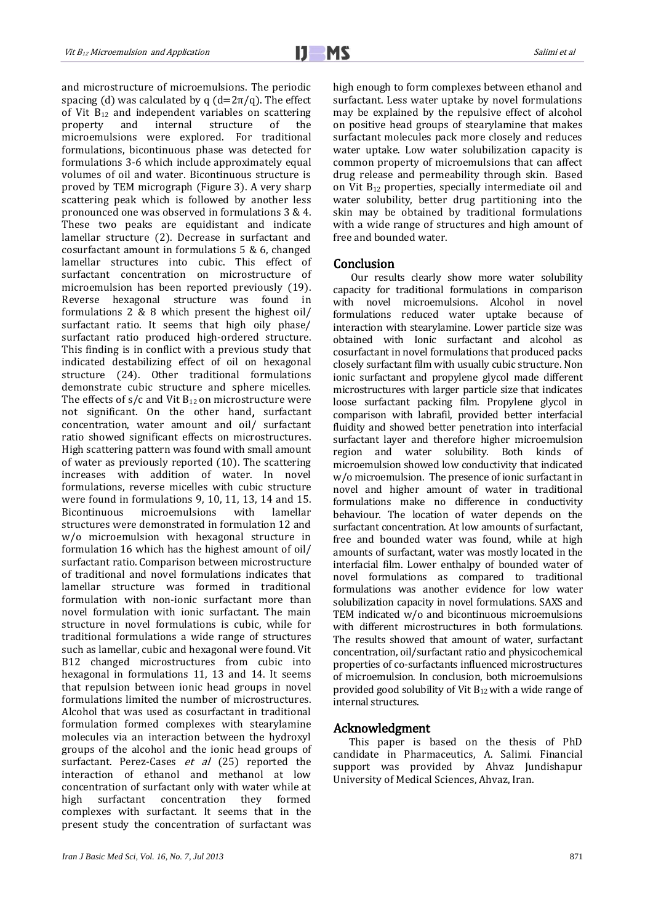and microstructure of microemulsions. The periodic spacing (d) was calculated by q  $(d=2\pi/q)$ . The effect of Vit  $B_{12}$  and independent variables on scattering<br>property and internal structure of the property and internal structure of the microemulsions were explored. For traditional formulations, bicontinuous phase was detected for formulations 3-6 which include approximately equal volumes of oil and water. Bicontinuous structure is proved by TEM micrograph (Figure 3). A very sharp scattering peak which is followed by another less pronounced one was observed in formulations 3 & 4. These two peaks are equidistant and indicate lamellar structure (2). Decrease in surfactant and cosurfactant amount in formulations 5 & 6, changed lamellar structures into cubic. This effect of surfactant concentration on microstructure of microemulsion has been reported previously (19). Reverse hexagonal structure was found in formulations 2 & 8 which present the highest oil/ surfactant ratio. It seems that high oily phase/ surfactant ratio produced high-ordered structure. This finding is in conflict with a previous study that indicated destabilizing effect of oil on hexagonal structure (24). Other traditional formulations demonstrate cubic structure and sphere micelles. The effects of  $s/c$  and Vit  $B_{12}$  on microstructure were not significant. On the other hand, surfactant concentration, water amount and oil/ surfactant ratio showed significant effects on microstructures. High scattering pattern was found with small amount of water as previously reported (10). The scattering increases with addition of water. In novel formulations, reverse micelles with cubic structure were found in formulations 9, 10, 11, 13, 14 and 15. Bicontinuous microemulsions with lamellar structures were demonstrated in formulation 12 and w/o microemulsion with hexagonal structure in formulation 16 which has the highest amount of oil/ surfactant ratio. Comparison between microstructure of traditional and novel formulations indicates that lamellar structure was formed in traditional formulation with non-ionic surfactant more than novel formulation with ionic surfactant. The main structure in novel formulations is cubic, while for traditional formulations a wide range of structures such as lamellar, cubic and hexagonal were found. Vit B12 changed microstructures from cubic into hexagonal in formulations 11, 13 and 14. It seems that repulsion between ionic head groups in novel formulations limited the number of microstructures. Alcohol that was used as cosurfactant in traditional formulation formed complexes with stearylamine molecules via an interaction between the hydroxyl groups of the alcohol and the ionic head groups of surfactant. Perez-Cases et al (25) reported the interaction of ethanol and methanol at low concentration of surfactant only with water while at high surfactant concentration they formed complexes with surfactant. It seems that in the present study the concentration of surfactant was high enough to form complexes between ethanol and surfactant. Less water uptake by novel formulations may be explained by the repulsive effect of alcohol on positive head groups of stearylamine that makes surfactant molecules pack more closely and reduces water uptake. Low water solubilization capacity is common property of microemulsions that can affect drug release and permeability through skin. Based on Vit  $B_{12}$  properties, specially intermediate oil and water solubility, better drug partitioning into the skin may be obtained by traditional formulations with a wide range of structures and high amount of free and bounded water.

#### Conclusion

Our results clearly show more water solubility capacity for traditional formulations in comparison with novel microemulsions. Alcohol in novel formulations reduced water uptake because of interaction with stearylamine. Lower particle size was obtained with Ionic surfactant and alcohol as cosurfactant in novel formulations that produced packs closely surfactant film with usually cubic structure. Non ionic surfactant and propylene glycol made different microstructures with larger particle size that indicates loose surfactant packing film. Propylene glycol in comparison with labrafil, provided better interfacial fluidity and showed better penetration into interfacial surfactant layer and therefore higher microemulsion region and water solubility. Both kinds of microemulsion showed low conductivity that indicated w/o microemulsion. The presence of ionic surfactant in novel and higher amount of water in traditional formulations make no difference in conductivity behaviour. The location of water depends on the surfactant concentration. At low amounts of surfactant, free and bounded water was found, while at high amounts of surfactant, water was mostly located in the interfacial film. Lower enthalpy of bounded water of novel formulations as compared to traditional formulations was another evidence for low water solubilization capacity in novel formulations. SAXS and TEM indicated w/o and bicontinuous microemulsions with different microstructures in both formulations. The results showed that amount of water, surfactant concentration, oil/surfactant ratio and physicochemical properties of co-surfactants influenced microstructures of microemulsion. In conclusion, both microemulsions provided good solubility of Vit  $B_{12}$  with a wide range of internal structures.

#### Acknowledgment

This paper is based on the thesis of PhD candidate in Pharmaceutics, A. Salimi. Financial support was provided by Ahvaz Jundishapur University of Medical Sciences, Ahvaz, Iran.